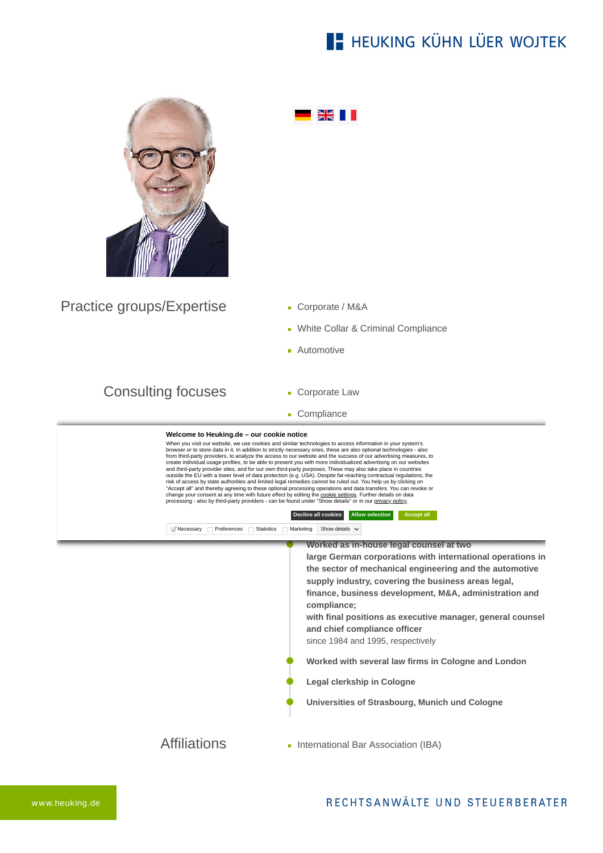## **E- HEUKING KÜHN LÜER WOJTEK**